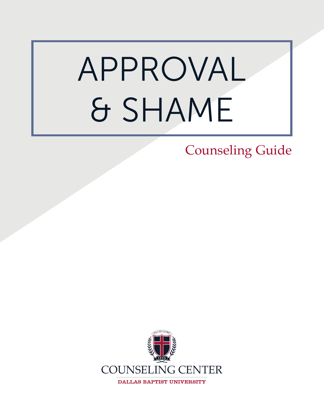# APPROVAL & SHAME

### Counseling Guide

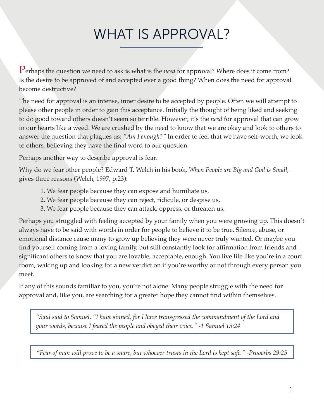### WHAT IS APPROVAL?

Perhaps the question we need to ask is what is the *need* for approval? Where does it come from? Is the desire to be approved of and accepted ever a good thing? When does the need for approval become destructive?

The need for approval is an intense, inner desire to be accepted by people. Often we will attempt to please other people in order to gain this acceptance. Initially the thought of being liked and seeking to do good toward others doesn't seem so terrible. However, it's the *need* for approval that can grow in our hearts like a weed. We are crushed by the need to know that we are okay and look to others to answer the question that plagues us: *"Am I enough?"* In order to feel that we have self-worth, we look to others, believing they have the final word to our question.

Perhaps another way to describe approval is fear.

Why do we fear other people? Edward T. Welch in his book, *When People are Big and God is Small*, gives three reasons (Welch, 1997, p.23):

- 1. We fear people because they can expose and humiliate us.
- 2. We fear people because they can reject, ridicule, or despise us.
- 3. We fear people because they can attack, oppress, or threaten us.

Perhaps you struggled with feeling accepted by your family when you were growing up. This doesn't always have to be said with words in order for people to believe it to be true. Silence, abuse, or emotional distance cause many to grow up believing they were never truly wanted. Or maybe you find yourself coming from a loving family, but still constantly look for affirmation from friends and significant others to know that you are lovable, acceptable, enough. You live life like you're in a court room, waking up and looking for a new verdict on if you're worthy or not through every person you meet.

If any of this sounds familiar to you, you're not alone. Many people struggle with the need for approval and, like you, are searching for a greater hope they cannot find within themselves.

*"Saul said to Samuel, "I have sinned, for I have transgressed the commandment of the Lord and your words, because I feared the people and obeyed their voice." -1 Samuel 15:24*

*"Fear of man will prove to be a snare, but whoever trusts in the Lord is kept safe." -Proverbs 29:25*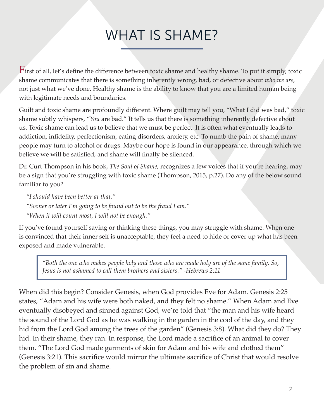### WHAT IS SHAME?

First of all, let's define the difference between toxic shame and healthy shame. To put it simply, toxic shame communicates that there is something inherently wrong, bad, or defective about *who we are*, not just what we've done. Healthy shame is the ability to know that you are a limited human being with legitimate needs and boundaries.

Guilt and toxic shame are profoundly different. Where guilt may tell you, "What I did was bad," toxic shame subtly whispers, "*You* are bad." It tells us that there is something inherently defective about us. Toxic shame can lead us to believe that we must be perfect. It is often what eventually leads to addiction, infidelity, perfectionism, eating disorders, anxiety, etc. To numb the pain of shame, many people may turn to alcohol or drugs. Maybe our hope is found in our appearance, through which we believe we will be satisfied, and shame will finally be silenced.

Dr. Curt Thompson in his book, *The Soul of Shame*, recognizes a few voices that if you're hearing, may be a sign that you're struggling with toxic shame (Thompson, 2015, p.27). Do any of the below sound familiar to you?

*"I should have been better at that." "Sooner or later I'm going to be found out to be the fraud I am." "When it will count most, I will not be enough."* 

If you've found yourself saying or thinking these things, you may struggle with shame. When one is convinced that their inner self is unacceptable, they feel a need to hide or cover up what has been exposed and made vulnerable.

*"Both the one who makes people holy and those who are made holy are of the same family. So, Jesus is not ashamed to call them brothers and sisters." -Hebrews 2:11*

When did this begin? Consider Genesis, when God provides Eve for Adam. Genesis 2:25 states, "Adam and his wife were both naked, and they felt no shame." When Adam and Eve eventually disobeyed and sinned against God, we're told that "the man and his wife heard the sound of the Lord God as he was walking in the garden in the cool of the day, and they hid from the Lord God among the trees of the garden" (Genesis 3:8). What did they do? They hid. In their shame, they ran. In response, the Lord made a sacrifice of an animal to cover them. "The Lord God made garments of skin for Adam and his wife and clothed them" (Genesis 3:21). This sacrifice would mirror the ultimate sacrifice of Christ that would resolve the problem of sin and shame.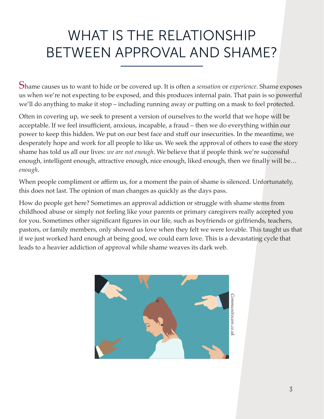### WHAT IS THE RELATIONSHIP BETWEEN APPROVAL AND SHAME?

Shame causes us to want to hide or be covered up. It is often a *sensation* or *experience*. Shame exposes us when we're not expecting to be exposed, and this produces internal pain. That pain is so powerful we'll do anything to make it stop – including running away or putting on a mask to feel protected.

Often in covering up, we seek to present a version of ourselves to the world that we hope will be acceptable. If we feel insufficient, anxious, incapable, a fraud – then we do everything within our power to keep this hidden. We put on our best face and stuff our insecurities. In the meantime, we desperately hope and work for all people to like us. We seek the approval of others to ease the story shame has told us all our lives: *we are not enough*. We believe that if people think we're successful enough, intelligent enough, attractive enough, nice enough, liked enough, then we finally will be… *enough*.

When people compliment or affirm us, for a moment the pain of shame is silenced. Unfortunately, this does not last. The opinion of man changes as quickly as the days pass.

How do people get here? Sometimes an approval addiction or struggle with shame stems from childhood abuse or simply not feeling like your parents or primary caregivers really accepted you for you. Sometimes other significant figures in our life, such as boyfriends or girlfriends, teachers, pastors, or family members, only showed us love when they felt we were lovable. This taught us that if we just worked hard enough at being good, we could earn love. This is a devastating cycle that leads to a heavier addiction of approval while shame weaves its dark web.



3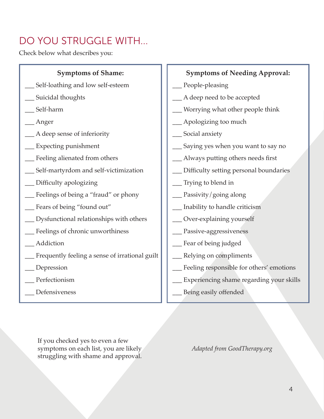### DO YOU STRUGGLE WITH...

Check below what describes you:

#### **Symptoms of Shame:**

- Self-loathing and low self-esteem
- Suicidal thoughts
- \_\_\_ Self-harm
- \_\_\_ Anger
- \_\_\_ A deep sense of inferiority
- Expecting punishment
- \_\_\_ Feeling alienated from others
- Self-martyrdom and self-victimization
- \_\_\_ Difficulty apologizing
- \_\_\_ Feelings of being a "fraud" or phony
- \_\_\_ Fears of being "found out"
- \_\_\_ Dysfunctional relationships with others
- \_\_\_ Feelings of chronic unworthiness
- \_\_\_ Addiction
- \_\_\_ Frequently feeling a sense of irrational guilt
- \_\_\_ Depression
- Perfectionism
- \_\_\_ Defensiveness

#### **Symptoms of Needing Approval:**

- People-pleasing
- \_\_\_ A deep need to be accepted
- Worrying what other people think
- \_\_\_ Apologizing too much
- \_\_\_ Social anxiety
- Saying yes when you want to say no
- \_\_\_ Always putting others needs first
- Difficulty setting personal boundaries
- \_\_\_ Trying to blend in
- \_\_\_ Passivity/going along
- \_\_\_ Inability to handle criticism
- \_\_\_ Over-explaining yourself
- \_\_\_ Passive-aggressiveness
- \_\_\_ Fear of being judged
- \_\_\_ Relying on compliments
- \_\_\_ Feeling responsible for others' emotions
- Experiencing shame regarding your skills
- \_\_\_ Being easily offended

If you checked yes to even a few symptoms on each list, you are likely struggling with shame and approval.

*Adapted from GoodTherapy.org*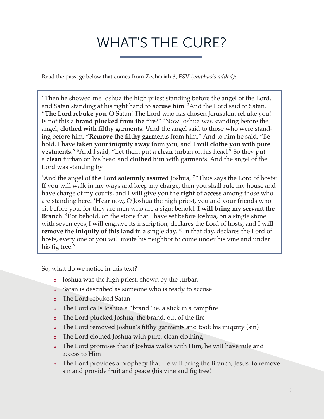### WHAT'S THE CURE?

Read the passage below that comes from Zechariah 3, ESV *(emphasis added)*:

"Then he showed me Joshua the high priest standing before the angel of the Lord, and Satan standing at his right hand to **accuse him**. 2 And the Lord said to Satan, "**The Lord rebuke you**, O Satan! The Lord who has chosen Jerusalem rebuke you! Is not this a **brand plucked from the fire**?" <sup>3</sup> Now Joshua was standing before the angel, **clothed with filthy garments**. 4 And the angel said to those who were standing before him, "**Remove the filthy garments** from him." And to him he said, "Behold, I have **taken your iniquity away** from you, and **I will clothe you with pure vestments**." <sup>5</sup> And I said, "Let them put a **clean** turban on his head." So they put a **clean** turban on his head and **clothed him** with garments. And the angel of the Lord was standing by.

6 And the angel of **the Lord solemnly assured** Joshua, <sup>7</sup>"Thus says the Lord of hosts: If you will walk in my ways and keep my charge, then you shall rule my house and have charge of my courts, and I will give you **the right of access** among those who are standing here. <sup>8</sup>Hear now, O Joshua the high priest, you and your friends who sit before you, for they are men who are a sign: behold, **I will bring my servant the Branch**. 9 For behold, on the stone that I have set before Joshua, on a single stone with seven eyes,I will engrave its inscription, declares the Lord of hosts, and I **will remove the iniquity of this land** in a single day. <sup>10</sup>In that day, declares the Lord of hosts, every one of you will invite his neighbor to come under his vine and under his fig tree."

So, what do we notice in this text?

- Joshua was the high priest, shown by the turban
- **o** Satan is described as someone who is ready to accuse
- The Lord rebuked Satan
- The Lord calls Joshua a "brand" ie. a stick in a campfire
- The Lord plucked Joshua, the brand, out of the fire
- The Lord removed Joshua's filthy garments and took his iniquity (sin)
- The Lord clothed Joshua with pure, clean clothing
- o The Lord promises that if Joshua walks with Him, he will have rule and access to Him
- The Lord provides a prophecy that He will bring the Branch, Jesus, to remove sin and provide fruit and peace (his vine and fig tree)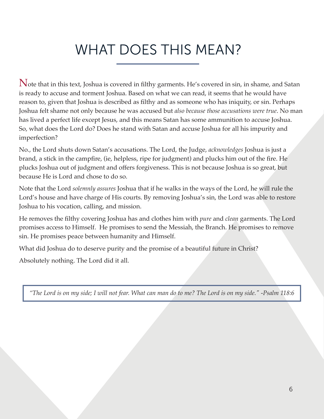## WHAT DOES THIS MEAN?

 $N$ ote that in this text, Joshua is covered in filthy garments. He's covered in sin, in shame, and Satan is ready to accuse and torment Joshua. Based on what we can read, it seems that he would have reason to, given that Joshua is described as filthy and as someone who has iniquity, or sin. Perhaps Joshua felt shame not only because he was accused but *also because those accusations were true*. No man has lived a perfect life except Jesus, and this means Satan has some ammunition to accuse Joshua. So, what does the Lord do? Does he stand with Satan and accuse Joshua for all his impurity and imperfection?

No., the Lord shuts down Satan's accusations. The Lord, the Judge, *acknowledges* Joshua is just a brand, a stick in the campfire, (ie, helpless, ripe for judgment) and plucks him out of the fire. He plucks Joshua out of judgment and offers forgiveness. This is not because Joshua is so great, but because He is Lord and chose to do so.

Note that the Lord *solemnly assures* Joshua that if he walks in the ways of the Lord, he will rule the Lord's house and have charge of His courts. By removing Joshua's sin, the Lord was able to restore Joshua to his vocation, calling, and mission.

He removes the filthy covering Joshua has and clothes him with *pure* and *clean* garments. The Lord promises access to Himself. He promises to send the Messiah, the Branch. He promises to remove sin. He promises peace between humanity and Himself.

What did Joshua do to deserve purity and the promise of a beautiful future in Christ?

Absolutely nothing. The Lord did it all.

*"The Lord is on my side; I will not fear. What can man do to me? The Lord is on my side." -Psalm 118:6*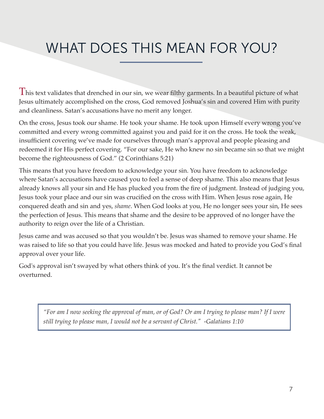## WHAT DOES THIS MEAN FOR YOU?

 ${\rm T}$ his text validates that drenched in our sin, we wear filthy garments. In a beautiful picture of what Jesus ultimately accomplished on the cross, God removed Joshua's sin and covered Him with purity and cleanliness. Satan's accusations have no merit any longer.

On the cross, Jesus took our shame. He took your shame. He took upon Himself every wrong you've committed and every wrong committed against you and paid for it on the cross. He took the weak, insufficient covering we've made for ourselves through man's approval and people pleasing and redeemed it for His perfect covering. "For our sake, He who knew no sin became sin so that we might become the righteousness of God." (2 Corinthians 5:21)

This means that you have freedom to acknowledge your sin. You have freedom to acknowledge where Satan's accusations have caused you to feel a sense of deep shame. This also means that Jesus already knows all your sin and He has plucked you from the fire of judgment. Instead of judging you, Jesus took your place and our sin was crucified on the cross with Him. When Jesus rose again, He conquered death and sin and yes, *shame*. When God looks at you, He no longer sees your sin, He sees the perfection of Jesus. This means that shame and the desire to be approved of no longer have the authority to reign over the life of a Christian.

Jesus came and was accused so that you wouldn't be. Jesus was shamed to remove your shame. He was raised to life so that you could have life. Jesus was mocked and hated to provide you God's final approval over your life.

God's approval isn't swayed by what others think of you. It's the final verdict. It cannot be overturned.

*"For am I now seeking the approval of man, or of God? Or am I trying to please man? If I were still trying to please man, I would not be a servant of Christ." -Galatians 1:10*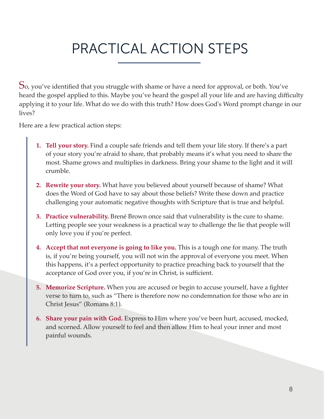### PRACTICAL ACTION STEPS

 $S$ o, you've identified that you struggle with shame or have a need for approval, or both. You've heard the gospel applied to this. Maybe you've heard the gospel all your life and are having difficulty applying it to your life. What do we do with this truth? How does God's Word prompt change in our lives?

Here are a few practical action steps:

- **1. Tell your story.** Find a couple safe friends and tell them your life story. If there's a part of your story you're afraid to share, that probably means it's what you need to share the most. Shame grows and multiplies in darkness. Bring your shame to the light and it will crumble.
- **2. Rewrite your story.** What have you believed about yourself because of shame? What does the Word of God have to say about those beliefs? Write these down and practice challenging your automatic negative thoughts with Scripture that is true and helpful.
- **3. Practice vulnerability.** Brené Brown once said that vulnerability is the cure to shame. Letting people see your weakness is a practical way to challenge the lie that people will only love you if you're perfect.
- **4. Accept that not everyone is going to like you.** This is a tough one for many. The truth is, if you're being yourself, you will not win the approval of everyone you meet. When this happens, it's a perfect opportunity to practice preaching back to yourself that the acceptance of God over you, if you're in Christ, is sufficient.
- **5. Memorize Scripture.** When you are accused or begin to accuse yourself, have a fighter verse to turn to, such as "There is therefore now no condemnation for those who are in Christ Jesus" (Romans 8:1).
- **6. Share your pain with God.** Express to Him where you've been hurt, accused, mocked, and scorned. Allow yourself to feel and then allow Him to heal your inner and most painful wounds.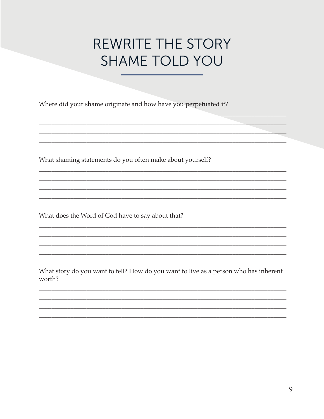### **REWRITE THE STORY SHAME TOLD YOU**

Where did your shame originate and how have you perpetuated it?

What shaming statements do you often make about yourself?

What does the Word of God have to say about that?

What story do you want to tell? How do you want to live as a person who has inherent worth?